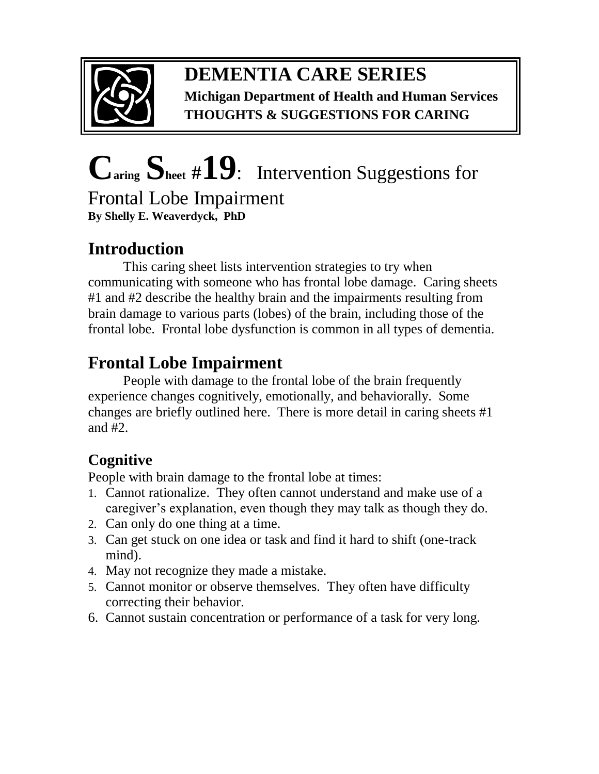

### **DEMENTIA CARE SERIES Michigan Department of Health and Human Services THOUGHTS & SUGGESTIONS FOR CARING**

# **Caring Sheet #19**:Intervention Suggestions for

Frontal Lobe Impairment

**By Shelly E. Weaverdyck, PhD** 

# **Introduction**

 This caring sheet lists intervention strategies to try when communicating with someone who has frontal lobe damage. Caring sheets #1 and #2 describe the healthy brain and the impairments resulting from brain damage to various parts (lobes) of the brain, including those of the frontal lobe. Frontal lobe dysfunction is common in all types of dementia.

# **Frontal Lobe Impairment**

People with damage to the frontal lobe of the brain frequently experience changes cognitively, emotionally, and behaviorally. Some changes are briefly outlined here. There is more detail in caring sheets #1 and #2.

### **Cognitive**

People with brain damage to the frontal lobe at times:

- 1. Cannot rationalize. They often cannot understand and make use of a caregiver's explanation, even though they may talk as though they do.
- 2. Can only do one thing at a time.
- 3. Can get stuck on one idea or task and find it hard to shift (one-track mind).
- 4. May not recognize they made a mistake.
- 5. Cannot monitor or observe themselves. They often have difficulty correcting their behavior.
- 6. Cannot sustain concentration or performance of a task for very long.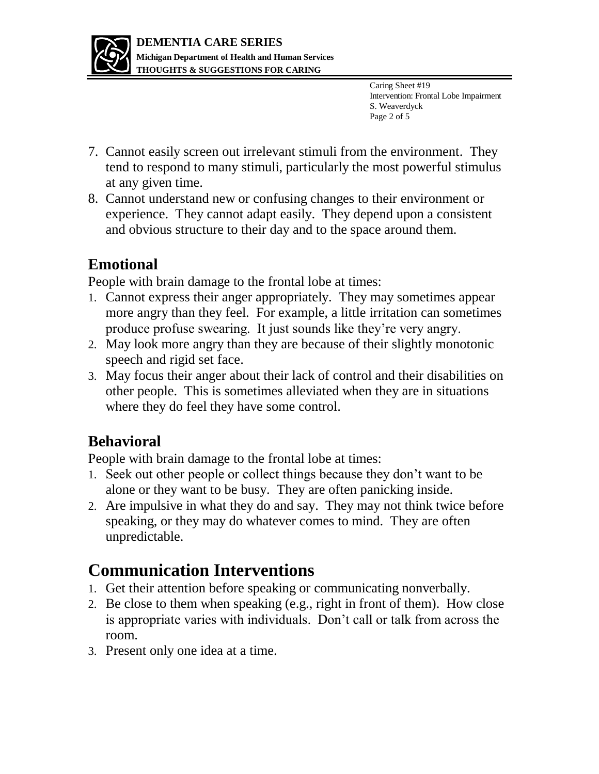

Caring Sheet #19 Intervention: Frontal Lobe Impairment S. Weaverdyck Page 2 of 5

- 7. Cannot easily screen out irrelevant stimuli from the environment. They tend to respond to many stimuli, particularly the most powerful stimulus at any given time.
- 8. Cannot understand new or confusing changes to their environment or experience. They cannot adapt easily. They depend upon a consistent and obvious structure to their day and to the space around them.

#### **Emotional**

People with brain damage to the frontal lobe at times:

- 1. Cannot express their anger appropriately. They may sometimes appear more angry than they feel. For example, a little irritation can sometimes produce profuse swearing. It just sounds like they're very angry.
- 2. May look more angry than they are because of their slightly monotonic speech and rigid set face.
- 3. May focus their anger about their lack of control and their disabilities on other people. This is sometimes alleviated when they are in situations where they do feel they have some control.

#### **Behavioral**

People with brain damage to the frontal lobe at times:

- 1. Seek out other people or collect things because they don't want to be alone or they want to be busy. They are often panicking inside.
- 2. Are impulsive in what they do and say. They may not think twice before speaking, or they may do whatever comes to mind. They are often unpredictable.

## **Communication Interventions**

- 1. Get their attention before speaking or communicating nonverbally.
- 2. Be close to them when speaking (e.g., right in front of them). How close is appropriate varies with individuals. Don't call or talk from across the room.
- 3. Present only one idea at a time.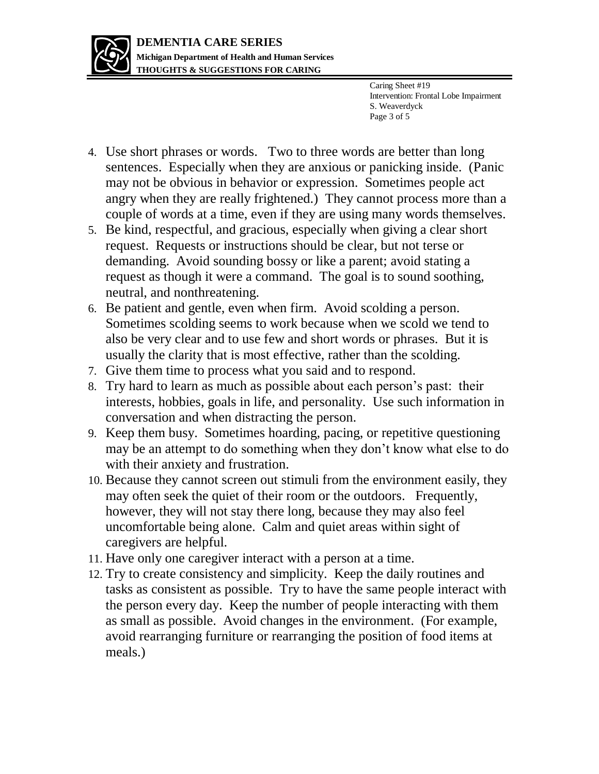

Caring Sheet #19 Intervention: Frontal Lobe Impairment S. Weaverdyck Page 3 of 5

- 4. Use short phrases or words. Two to three words are better than long sentences. Especially when they are anxious or panicking inside. (Panic may not be obvious in behavior or expression. Sometimes people act angry when they are really frightened.) They cannot process more than a couple of words at a time, even if they are using many words themselves.
- 5. Be kind, respectful, and gracious, especially when giving a clear short request. Requests or instructions should be clear, but not terse or demanding. Avoid sounding bossy or like a parent; avoid stating a request as though it were a command. The goal is to sound soothing, neutral, and nonthreatening.
- 6. Be patient and gentle, even when firm. Avoid scolding a person. Sometimes scolding seems to work because when we scold we tend to also be very clear and to use few and short words or phrases. But it is usually the clarity that is most effective, rather than the scolding.
- 7. Give them time to process what you said and to respond.
- 8. Try hard to learn as much as possible about each person's past: their interests, hobbies, goals in life, and personality. Use such information in conversation and when distracting the person.
- 9. Keep them busy. Sometimes hoarding, pacing, or repetitive questioning may be an attempt to do something when they don't know what else to do with their anxiety and frustration.
- 10. Because they cannot screen out stimuli from the environment easily, they may often seek the quiet of their room or the outdoors. Frequently, however, they will not stay there long, because they may also feel uncomfortable being alone. Calm and quiet areas within sight of caregivers are helpful.
- 11. Have only one caregiver interact with a person at a time.
- 12. Try to create consistency and simplicity. Keep the daily routines and tasks as consistent as possible. Try to have the same people interact with the person every day. Keep the number of people interacting with them as small as possible. Avoid changes in the environment. (For example, avoid rearranging furniture or rearranging the position of food items at meals.)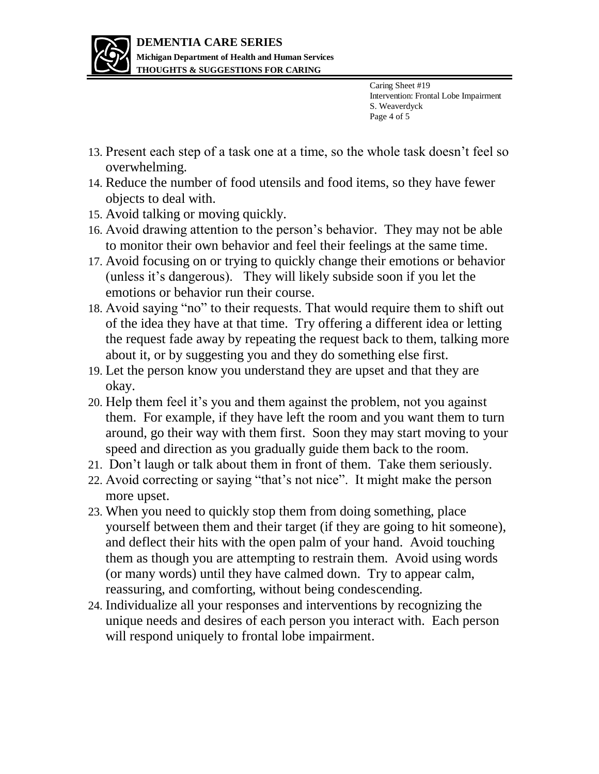

Caring Sheet #19 Intervention: Frontal Lobe Impairment S. Weaverdyck Page 4 of 5

- 13. Present each step of a task one at a time, so the whole task doesn't feel so overwhelming.
- 14. Reduce the number of food utensils and food items, so they have fewer objects to deal with.
- 15. Avoid talking or moving quickly.
- 16. Avoid drawing attention to the person's behavior. They may not be able to monitor their own behavior and feel their feelings at the same time.
- 17. Avoid focusing on or trying to quickly change their emotions or behavior (unless it's dangerous). They will likely subside soon if you let the emotions or behavior run their course.
- 18. Avoid saying "no" to their requests. That would require them to shift out of the idea they have at that time. Try offering a different idea or letting the request fade away by repeating the request back to them, talking more about it, or by suggesting you and they do something else first.
- 19. Let the person know you understand they are upset and that they are okay.
- 20. Help them feel it's you and them against the problem, not you against them. For example, if they have left the room and you want them to turn around, go their way with them first. Soon they may start moving to your speed and direction as you gradually guide them back to the room.
- 21. Don't laugh or talk about them in front of them. Take them seriously.
- 22. Avoid correcting or saying "that's not nice". It might make the person more upset.
- 23. When you need to quickly stop them from doing something, place yourself between them and their target (if they are going to hit someone), and deflect their hits with the open palm of your hand. Avoid touching them as though you are attempting to restrain them. Avoid using words (or many words) until they have calmed down. Try to appear calm, reassuring, and comforting, without being condescending.
- 24. Individualize all your responses and interventions by recognizing the unique needs and desires of each person you interact with. Each person will respond uniquely to frontal lobe impairment.